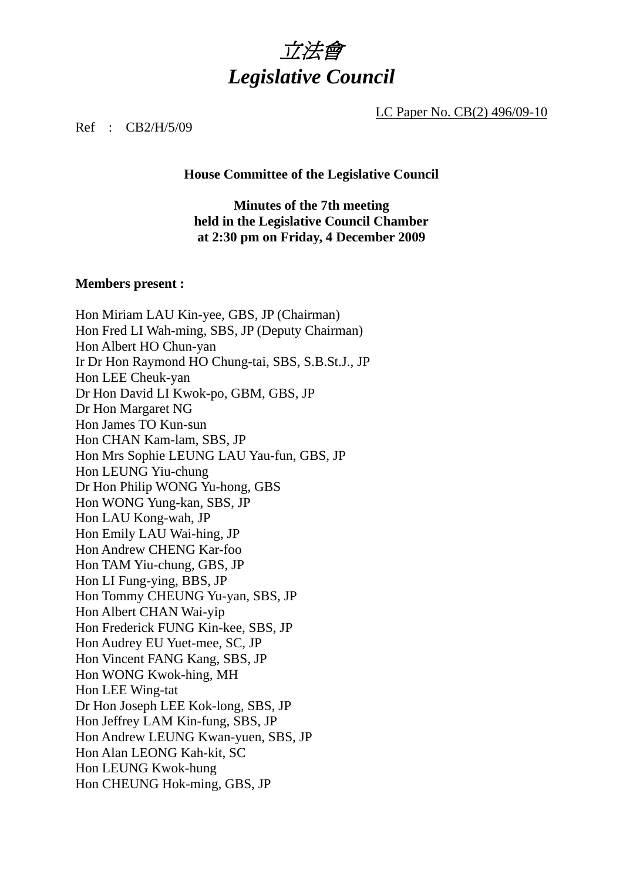

LC Paper No. CB(2) 496/09-10

#### Ref : CB2/H/5/09

#### **House Committee of the Legislative Council**

### **Minutes of the 7th meeting held in the Legislative Council Chamber at 2:30 pm on Friday, 4 December 2009**

#### **Members present :**

Hon Miriam LAU Kin-yee, GBS, JP (Chairman) Hon Fred LI Wah-ming, SBS, JP (Deputy Chairman) Hon Albert HO Chun-yan Ir Dr Hon Raymond HO Chung-tai, SBS, S.B.St.J., JP Hon LEE Cheuk-yan Dr Hon David LI Kwok-po, GBM, GBS, JP Dr Hon Margaret NG Hon James TO Kun-sun Hon CHAN Kam-lam, SBS, JP Hon Mrs Sophie LEUNG LAU Yau-fun, GBS, JP Hon LEUNG Yiu-chung Dr Hon Philip WONG Yu-hong, GBS Hon WONG Yung-kan, SBS, JP Hon LAU Kong-wah, JP Hon Emily LAU Wai-hing, JP Hon Andrew CHENG Kar-foo Hon TAM Yiu-chung, GBS, JP Hon LI Fung-ying, BBS, JP Hon Tommy CHEUNG Yu-yan, SBS, JP Hon Albert CHAN Wai-yip Hon Frederick FUNG Kin-kee, SBS, JP Hon Audrey EU Yuet-mee, SC, JP Hon Vincent FANG Kang, SBS, JP Hon WONG Kwok-hing, MH Hon LEE Wing-tat Dr Hon Joseph LEE Kok-long, SBS, JP Hon Jeffrey LAM Kin-fung, SBS, JP Hon Andrew LEUNG Kwan-yuen, SBS, JP Hon Alan LEONG Kah-kit, SC Hon LEUNG Kwok-hung Hon CHEUNG Hok-ming, GBS, JP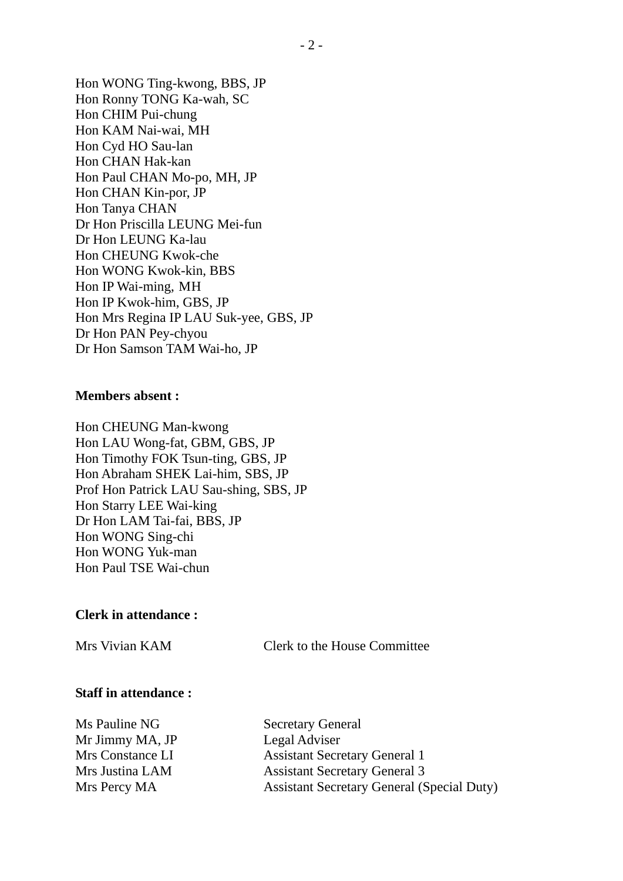Hon WONG Ting-kwong, BBS, JP Hon Ronny TONG Ka-wah, SC Hon CHIM Pui-chung Hon KAM Nai-wai, MH Hon Cyd HO Sau-lan Hon CHAN Hak-kan Hon Paul CHAN Mo-po, MH, JP Hon CHAN Kin-por, JP Hon Tanya CHAN Dr Hon Priscilla LEUNG Mei-fun Dr Hon LEUNG Ka-lau Hon CHEUNG Kwok-che Hon WONG Kwok-kin, BBS Hon IP Wai-ming, MH Hon IP Kwok-him, GBS, JP Hon Mrs Regina IP LAU Suk-yee, GBS, JP Dr Hon PAN Pey-chyou Dr Hon Samson TAM Wai-ho, JP

#### **Members absent :**

Hon CHEUNG Man-kwong Hon LAU Wong-fat, GBM, GBS, JP Hon Timothy FOK Tsun-ting, GBS, JP Hon Abraham SHEK Lai-him, SBS, JP Prof Hon Patrick LAU Sau-shing, SBS, JP Hon Starry LEE Wai-king Dr Hon LAM Tai-fai, BBS, JP Hon WONG Sing-chi Hon WONG Yuk-man Hon Paul TSE Wai-chun

#### **Clerk in attendance :**

Mrs Vivian KAM Clerk to the House Committee

#### **Staff in attendance :**

Ms Pauline NG Secretary General Mr Jimmy MA, JP Legal Adviser

Mrs Constance LI Assistant Secretary General 1 Mrs Justina LAM Assistant Secretary General 3 Mrs Percy MA Assistant Secretary General (Special Duty)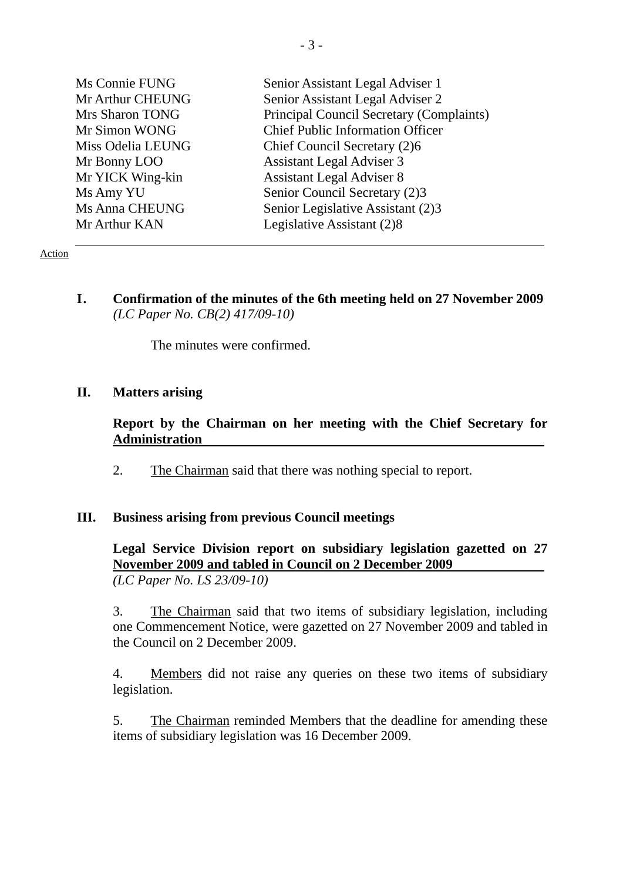| Ms Connie FUNG    | Senior Assistant Legal Adviser 1         |
|-------------------|------------------------------------------|
| Mr Arthur CHEUNG  | Senior Assistant Legal Adviser 2         |
| Mrs Sharon TONG   | Principal Council Secretary (Complaints) |
| Mr Simon WONG     | <b>Chief Public Information Officer</b>  |
| Miss Odelia LEUNG | Chief Council Secretary (2)6             |
| Mr Bonny LOO      | <b>Assistant Legal Adviser 3</b>         |
| Mr YICK Wing-kin  | <b>Assistant Legal Adviser 8</b>         |
| Ms Amy YU         | Senior Council Secretary (2)3            |
| Ms Anna CHEUNG    | Senior Legislative Assistant (2)3        |
| Mr Arthur KAN     | Legislative Assistant (2)8               |
|                   |                                          |

#### Action

**I. Confirmation of the minutes of the 6th meeting held on 27 November 2009** *(LC Paper No. CB(2) 417/09-10)* 

The minutes were confirmed.

#### **II. Matters arising**

**Report by the Chairman on her meeting with the Chief Secretary for Administration** 

2. The Chairman said that there was nothing special to report.

#### **III. Business arising from previous Council meetings**

**Legal Service Division report on subsidiary legislation gazetted on 27 November 2009 and tabled in Council on 2 December 2009**  *(LC Paper No. LS 23/09-10)* 

3. The Chairman said that two items of subsidiary legislation, including one Commencement Notice, were gazetted on 27 November 2009 and tabled in the Council on 2 December 2009.

4. Members did not raise any queries on these two items of subsidiary legislation.

5. The Chairman reminded Members that the deadline for amending these items of subsidiary legislation was 16 December 2009.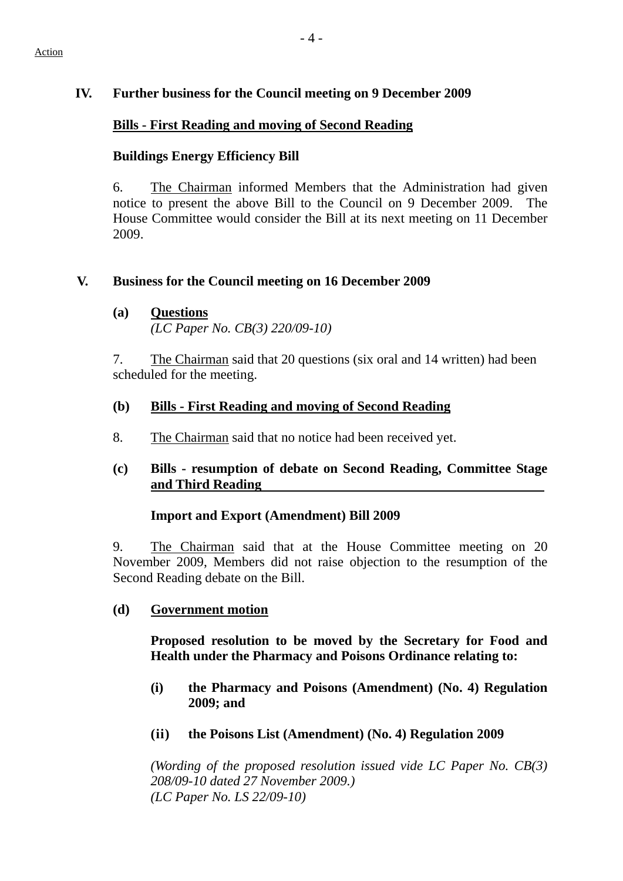# **IV. Further business for the Council meeting on 9 December 2009**

## **Bills - First Reading and moving of Second Reading**

## **Buildings Energy Efficiency Bill**

6. The Chairman informed Members that the Administration had given notice to present the above Bill to the Council on 9 December 2009. House Committee would consider the Bill at its next meeting on 11 December 2009.

## **V. Business for the Council meeting on 16 December 2009**

**(a) Questions** *(LC Paper No. CB(3) 220/09-10)* 

7. The Chairman said that 20 questions (six oral and 14 written) had been scheduled for the meeting.

# **(b) Bills - First Reading and moving of Second Reading**

- 8. The Chairman said that no notice had been received yet.
- **(c) Bills resumption of debate on Second Reading, Committee Stage and Third Reading**

## **Import and Export (Amendment) Bill 2009**

9. The Chairman said that at the House Committee meeting on 20 November 2009, Members did not raise objection to the resumption of the Second Reading debate on the Bill.

## **(d) Government motion**

**Proposed resolution to be moved by the Secretary for Food and Health under the Pharmacy and Poisons Ordinance relating to:** 

- **(i) the Pharmacy and Poisons (Amendment) (No. 4) Regulation 2009; and**
- **(ii) the Poisons List (Amendment) (No. 4) Regulation 2009**

*(Wording of the proposed resolution issued vide LC Paper No. CB(3) 208/09-10 dated 27 November 2009.) (LC Paper No. LS 22/09-10)*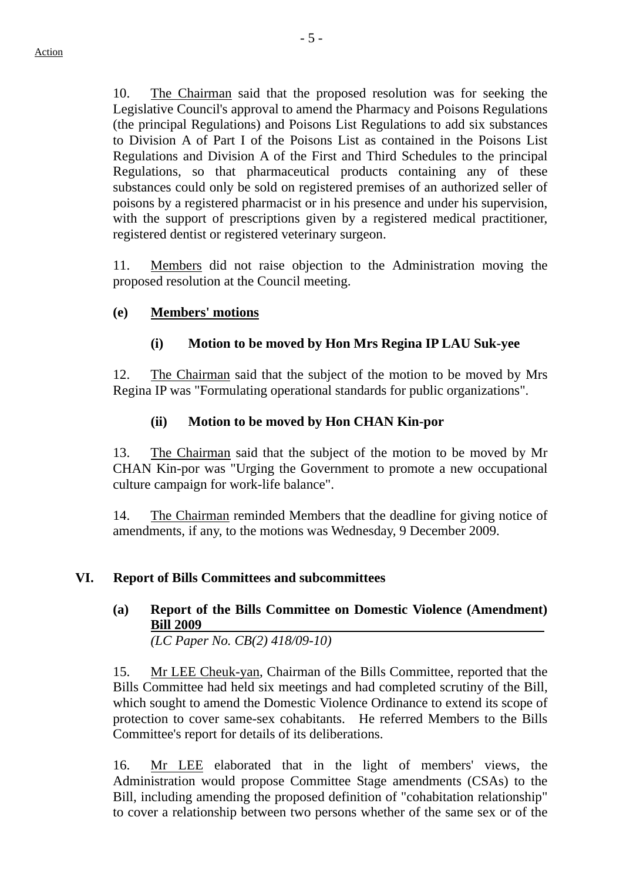10. The Chairman said that the proposed resolution was for seeking the Legislative Council's approval to amend the Pharmacy and Poisons Regulations (the principal Regulations) and Poisons List Regulations to add six substances to Division A of Part I of the Poisons List as contained in the Poisons List Regulations and Division A of the First and Third Schedules to the principal Regulations, so that pharmaceutical products containing any of these substances could only be sold on registered premises of an authorized seller of poisons by a registered pharmacist or in his presence and under his supervision, with the support of prescriptions given by a registered medical practitioner, registered dentist or registered veterinary surgeon.

11. Members did not raise objection to the Administration moving the proposed resolution at the Council meeting.

### **(e) Members' motions**

## **(i) Motion to be moved by Hon Mrs Regina IP LAU Suk-yee**

12. The Chairman said that the subject of the motion to be moved by Mrs Regina IP was "Formulating operational standards for public organizations".

### **(ii) Motion to be moved by Hon CHAN Kin-por**

13. The Chairman said that the subject of the motion to be moved by Mr CHAN Kin-por was "Urging the Government to promote a new occupational culture campaign for work-life balance".

14. The Chairman reminded Members that the deadline for giving notice of amendments, if any, to the motions was Wednesday, 9 December 2009.

### **VI. Report of Bills Committees and subcommittees**

**(a) Report of the Bills Committee on Domestic Violence (Amendment) Bill 2009** 

*(LC Paper No. CB(2) 418/09-10)* 

15. Mr LEE Cheuk-yan, Chairman of the Bills Committee, reported that the Bills Committee had held six meetings and had completed scrutiny of the Bill, which sought to amend the Domestic Violence Ordinance to extend its scope of protection to cover same-sex cohabitants. He referred Members to the Bills Committee's report for details of its deliberations.

16. Mr LEE elaborated that in the light of members' views, the Administration would propose Committee Stage amendments (CSAs) to the Bill, including amending the proposed definition of "cohabitation relationship" to cover a relationship between two persons whether of the same sex or of the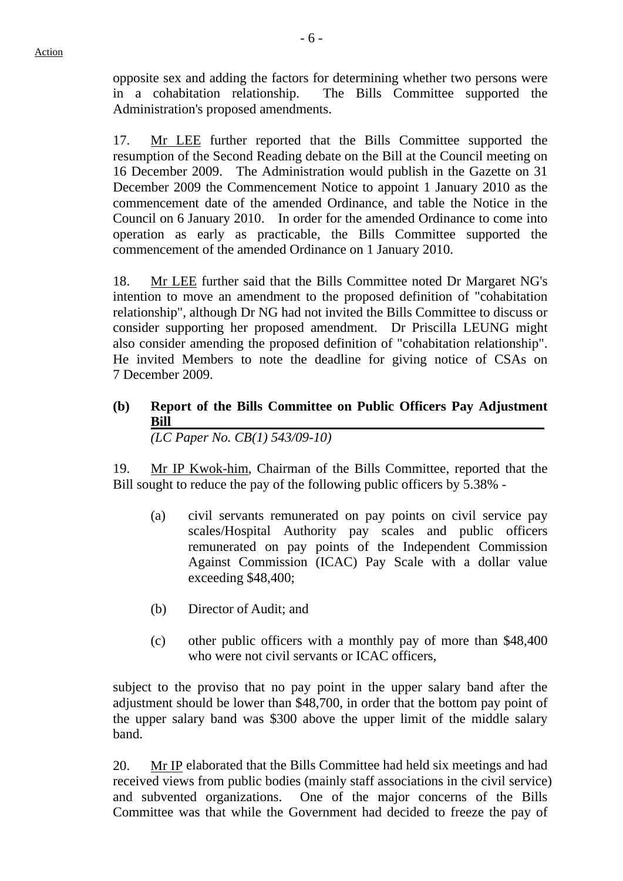opposite sex and adding the factors for determining whether two persons were in a cohabitation relationship. The Bills Committee supported the Administration's proposed amendments.

17. Mr LEE further reported that the Bills Committee supported the resumption of the Second Reading debate on the Bill at the Council meeting on 16 December 2009. The Administration would publish in the Gazette on 31 December 2009 the Commencement Notice to appoint 1 January 2010 as the commencement date of the amended Ordinance, and table the Notice in the Council on 6 January 2010. In order for the amended Ordinance to come into operation as early as practicable, the Bills Committee supported the commencement of the amended Ordinance on 1 January 2010.

18. Mr LEE further said that the Bills Committee noted Dr Margaret NG's intention to move an amendment to the proposed definition of "cohabitation relationship", although Dr NG had not invited the Bills Committee to discuss or consider supporting her proposed amendment. Dr Priscilla LEUNG might also consider amending the proposed definition of "cohabitation relationship". He invited Members to note the deadline for giving notice of CSAs on 7 December 2009.

**(b) Report of the Bills Committee on Public Officers Pay Adjustment Bill**  *(LC Paper No. CB(1) 543/09-10)* 

19. Mr IP Kwok-him, Chairman of the Bills Committee, reported that the Bill sought to reduce the pay of the following public officers by 5.38% -

- (a) civil servants remunerated on pay points on civil service pay scales/Hospital Authority pay scales and public officers remunerated on pay points of the Independent Commission Against Commission (ICAC) Pay Scale with a dollar value exceeding \$48,400;
- (b) Director of Audit; and
- (c) other public officers with a monthly pay of more than \$48,400 who were not civil servants or ICAC officers,

subject to the proviso that no pay point in the upper salary band after the adjustment should be lower than \$48,700, in order that the bottom pay point of the upper salary band was \$300 above the upper limit of the middle salary band.

20. Mr IP elaborated that the Bills Committee had held six meetings and had received views from public bodies (mainly staff associations in the civil service) and subvented organizations. One of the major concerns of the Bills Committee was that while the Government had decided to freeze the pay of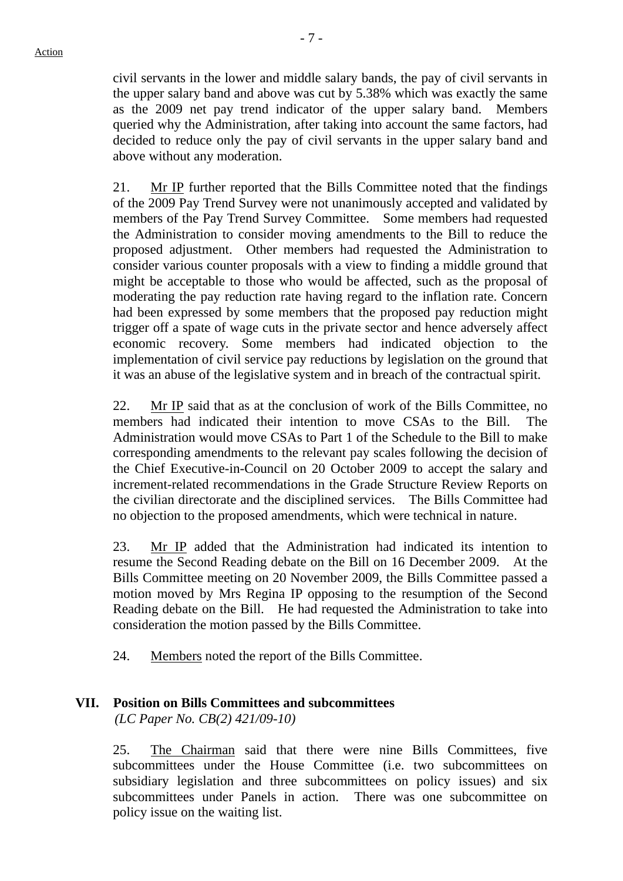civil servants in the lower and middle salary bands, the pay of civil servants in the upper salary band and above was cut by 5.38% which was exactly the same as the 2009 net pay trend indicator of the upper salary band. Members queried why the Administration, after taking into account the same factors, had decided to reduce only the pay of civil servants in the upper salary band and above without any moderation.

21. Mr IP further reported that the Bills Committee noted that the findings of the 2009 Pay Trend Survey were not unanimously accepted and validated by members of the Pay Trend Survey Committee. Some members had requested the Administration to consider moving amendments to the Bill to reduce the proposed adjustment. Other members had requested the Administration to consider various counter proposals with a view to finding a middle ground that might be acceptable to those who would be affected, such as the proposal of moderating the pay reduction rate having regard to the inflation rate. Concern had been expressed by some members that the proposed pay reduction might trigger off a spate of wage cuts in the private sector and hence adversely affect economic recovery. Some members had indicated objection to the implementation of civil service pay reductions by legislation on the ground that it was an abuse of the legislative system and in breach of the contractual spirit.

22. Mr IP said that as at the conclusion of work of the Bills Committee, no members had indicated their intention to move CSAs to the Bill. The Administration would move CSAs to Part 1 of the Schedule to the Bill to make corresponding amendments to the relevant pay scales following the decision of the Chief Executive-in-Council on 20 October 2009 to accept the salary and increment-related recommendations in the Grade Structure Review Reports on the civilian directorate and the disciplined services. The Bills Committee had no objection to the proposed amendments, which were technical in nature.

23. Mr IP added that the Administration had indicated its intention to resume the Second Reading debate on the Bill on 16 December 2009. At the Bills Committee meeting on 20 November 2009, the Bills Committee passed a motion moved by Mrs Regina IP opposing to the resumption of the Second Reading debate on the Bill. He had requested the Administration to take into consideration the motion passed by the Bills Committee.

24. Members noted the report of the Bills Committee.

## **VII. Position on Bills Committees and subcommittees**

*(LC Paper No. CB(2) 421/09-10)* 

25. The Chairman said that there were nine Bills Committees, five subcommittees under the House Committee (i.e. two subcommittees on subsidiary legislation and three subcommittees on policy issues) and six subcommittees under Panels in action. There was one subcommittee on policy issue on the waiting list.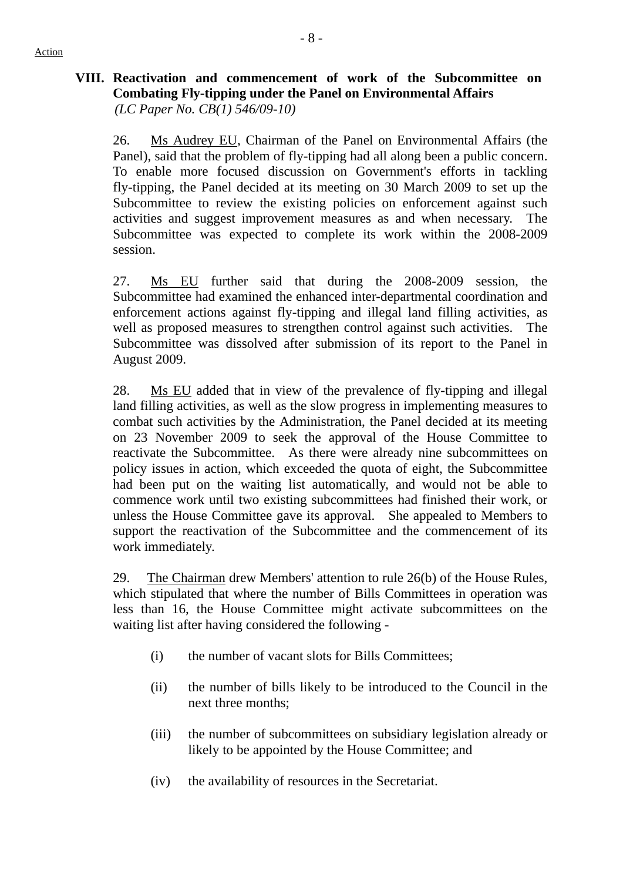## **VIII. Reactivation and commencement of work of the Subcommittee on Combating Fly-tipping under the Panel on Environmental Affairs**   *(LC Paper No. CB(1) 546/09-10)*

26. Ms Audrey EU, Chairman of the Panel on Environmental Affairs (the Panel), said that the problem of fly-tipping had all along been a public concern. To enable more focused discussion on Government's efforts in tackling fly-tipping, the Panel decided at its meeting on 30 March 2009 to set up the Subcommittee to review the existing policies on enforcement against such activities and suggest improvement measures as and when necessary. The Subcommittee was expected to complete its work within the 2008-2009 session.

27. Ms EU further said that during the 2008-2009 session, the Subcommittee had examined the enhanced inter-departmental coordination and enforcement actions against fly-tipping and illegal land filling activities, as well as proposed measures to strengthen control against such activities. The Subcommittee was dissolved after submission of its report to the Panel in August 2009.

28. Ms EU added that in view of the prevalence of fly-tipping and illegal land filling activities, as well as the slow progress in implementing measures to combat such activities by the Administration, the Panel decided at its meeting on 23 November 2009 to seek the approval of the House Committee to reactivate the Subcommittee. As there were already nine subcommittees on policy issues in action, which exceeded the quota of eight, the Subcommittee had been put on the waiting list automatically, and would not be able to commence work until two existing subcommittees had finished their work, or unless the House Committee gave its approval. She appealed to Members to support the reactivation of the Subcommittee and the commencement of its work immediately.

29. The Chairman drew Members' attention to rule 26(b) of the House Rules, which stipulated that where the number of Bills Committees in operation was less than 16, the House Committee might activate subcommittees on the waiting list after having considered the following -

- (i) the number of vacant slots for Bills Committees;
- (ii) the number of bills likely to be introduced to the Council in the next three months;
- (iii) the number of subcommittees on subsidiary legislation already or likely to be appointed by the House Committee; and
- (iv) the availability of resources in the Secretariat.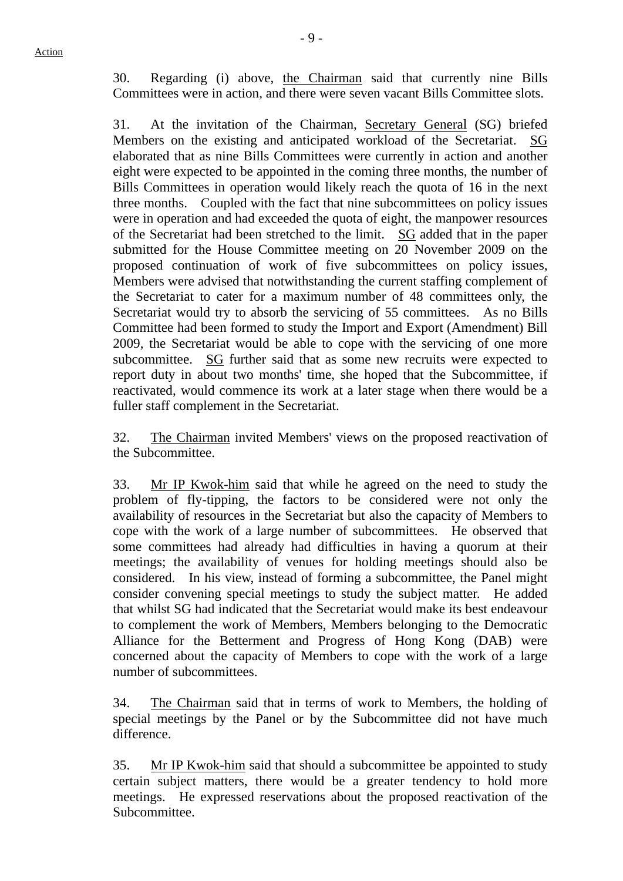30. Regarding (i) above, the Chairman said that currently nine Bills Committees were in action, and there were seven vacant Bills Committee slots.

31. At the invitation of the Chairman, Secretary General (SG) briefed Members on the existing and anticipated workload of the Secretariat. SG elaborated that as nine Bills Committees were currently in action and another eight were expected to be appointed in the coming three months, the number of Bills Committees in operation would likely reach the quota of 16 in the next three months. Coupled with the fact that nine subcommittees on policy issues were in operation and had exceeded the quota of eight, the manpower resources of the Secretariat had been stretched to the limit. SG added that in the paper submitted for the House Committee meeting on 20 November 2009 on the proposed continuation of work of five subcommittees on policy issues, Members were advised that notwithstanding the current staffing complement of the Secretariat to cater for a maximum number of 48 committees only, the Secretariat would try to absorb the servicing of 55 committees. As no Bills Committee had been formed to study the Import and Export (Amendment) Bill 2009, the Secretariat would be able to cope with the servicing of one more subcommittee. SG further said that as some new recruits were expected to report duty in about two months' time, she hoped that the Subcommittee, if reactivated, would commence its work at a later stage when there would be a fuller staff complement in the Secretariat.

32. The Chairman invited Members' views on the proposed reactivation of the Subcommittee.

33. Mr IP Kwok-him said that while he agreed on the need to study the problem of fly-tipping, the factors to be considered were not only the availability of resources in the Secretariat but also the capacity of Members to cope with the work of a large number of subcommittees. He observed that some committees had already had difficulties in having a quorum at their meetings; the availability of venues for holding meetings should also be considered. In his view, instead of forming a subcommittee, the Panel might consider convening special meetings to study the subject matter. He added that whilst SG had indicated that the Secretariat would make its best endeavour to complement the work of Members, Members belonging to the Democratic Alliance for the Betterment and Progress of Hong Kong (DAB) were concerned about the capacity of Members to cope with the work of a large number of subcommittees.

34. The Chairman said that in terms of work to Members, the holding of special meetings by the Panel or by the Subcommittee did not have much difference.

35. Mr IP Kwok-him said that should a subcommittee be appointed to study certain subject matters, there would be a greater tendency to hold more meetings. He expressed reservations about the proposed reactivation of the Subcommittee.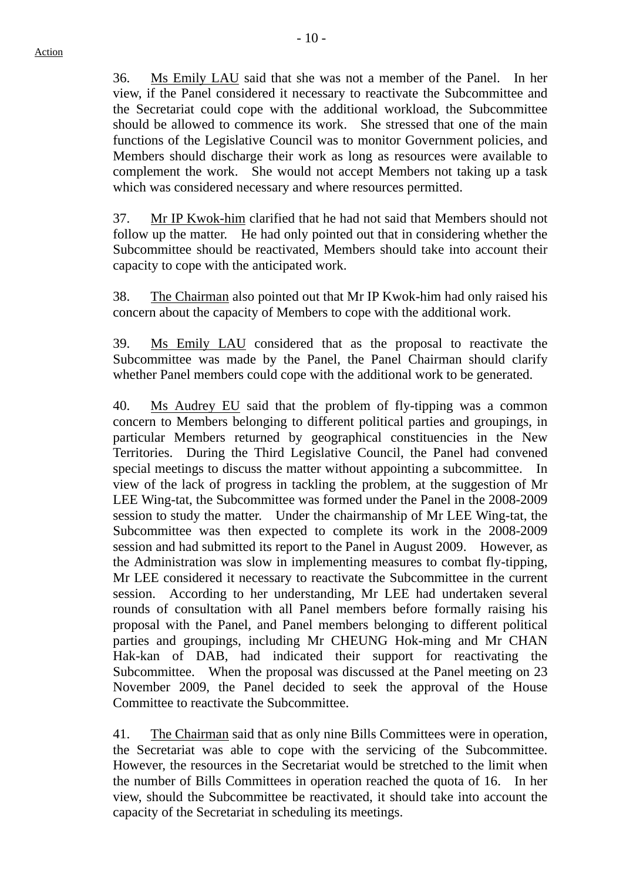36. Ms Emily LAU said that she was not a member of the Panel. In her view, if the Panel considered it necessary to reactivate the Subcommittee and the Secretariat could cope with the additional workload, the Subcommittee should be allowed to commence its work. She stressed that one of the main functions of the Legislative Council was to monitor Government policies, and Members should discharge their work as long as resources were available to complement the work. She would not accept Members not taking up a task which was considered necessary and where resources permitted.

37. Mr IP Kwok-him clarified that he had not said that Members should not follow up the matter. He had only pointed out that in considering whether the Subcommittee should be reactivated, Members should take into account their capacity to cope with the anticipated work.

38. The Chairman also pointed out that Mr IP Kwok-him had only raised his concern about the capacity of Members to cope with the additional work.

39. Ms Emily LAU considered that as the proposal to reactivate the Subcommittee was made by the Panel, the Panel Chairman should clarify whether Panel members could cope with the additional work to be generated.

40. Ms Audrey EU said that the problem of fly-tipping was a common concern to Members belonging to different political parties and groupings, in particular Members returned by geographical constituencies in the New Territories. During the Third Legislative Council, the Panel had convened special meetings to discuss the matter without appointing a subcommittee. In view of the lack of progress in tackling the problem, at the suggestion of Mr LEE Wing-tat, the Subcommittee was formed under the Panel in the 2008-2009 session to study the matter. Under the chairmanship of Mr LEE Wing-tat, the Subcommittee was then expected to complete its work in the 2008-2009 session and had submitted its report to the Panel in August 2009. However, as the Administration was slow in implementing measures to combat fly-tipping, Mr LEE considered it necessary to reactivate the Subcommittee in the current session. According to her understanding, Mr LEE had undertaken several rounds of consultation with all Panel members before formally raising his proposal with the Panel, and Panel members belonging to different political parties and groupings, including Mr CHEUNG Hok-ming and Mr CHAN Hak-kan of DAB, had indicated their support for reactivating the Subcommittee. When the proposal was discussed at the Panel meeting on 23 November 2009, the Panel decided to seek the approval of the House Committee to reactivate the Subcommittee.

41. The Chairman said that as only nine Bills Committees were in operation, the Secretariat was able to cope with the servicing of the Subcommittee. However, the resources in the Secretariat would be stretched to the limit when the number of Bills Committees in operation reached the quota of 16. In her view, should the Subcommittee be reactivated, it should take into account the capacity of the Secretariat in scheduling its meetings.